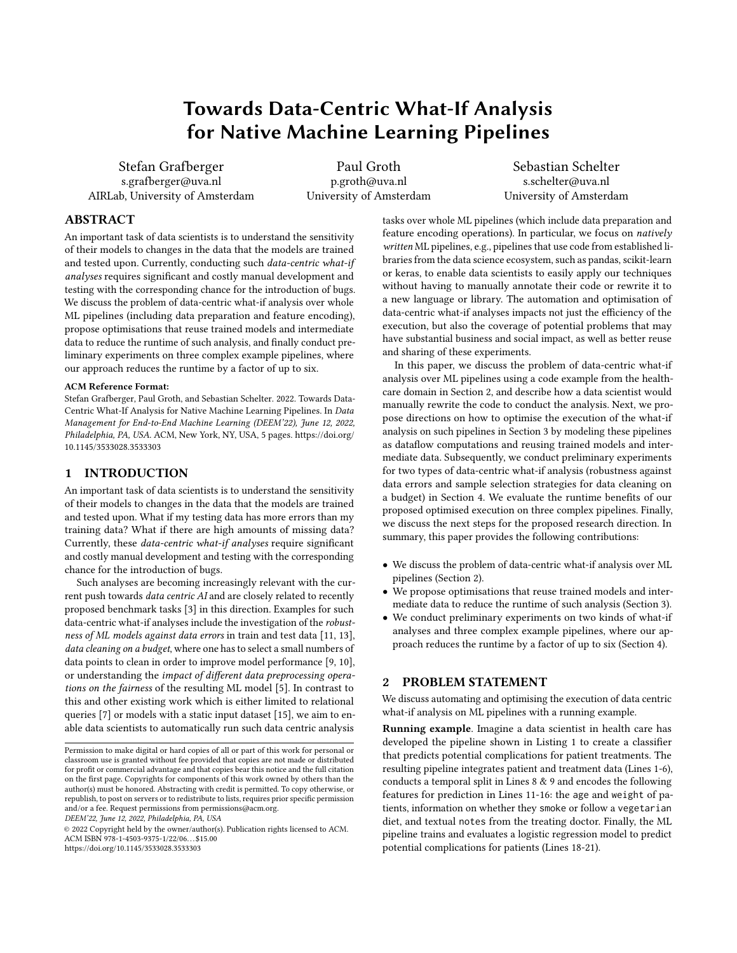# Towards Data-Centric What-If Analysis for Native Machine Learning Pipelines

Stefan Grafberger s.grafberger@uva.nl AIRLab, University of Amsterdam

Paul Groth p.groth@uva.nl University of Amsterdam

Sebastian Schelter s.schelter@uva.nl University of Amsterdam

# ABSTRACT

An important task of data scientists is to understand the sensitivity of their models to changes in the data that the models are trained and tested upon. Currently, conducting such data-centric what-if analyses requires significant and costly manual development and testing with the corresponding chance for the introduction of bugs. We discuss the problem of data-centric what-if analysis over whole ML pipelines (including data preparation and feature encoding), propose optimisations that reuse trained models and intermediate data to reduce the runtime of such analysis, and finally conduct preliminary experiments on three complex example pipelines, where our approach reduces the runtime by a factor of up to six.

#### ACM Reference Format:

Stefan Grafberger, Paul Groth, and Sebastian Schelter. 2022. Towards Data-Centric What-If Analysis for Native Machine Learning Pipelines. In Data Management for End-to-End Machine Learning (DEEM'22), June 12, 2022, Philadelphia, PA, USA. ACM, New York, NY, USA, [5](#page-4-0) pages. [https://doi.org/](https://doi.org/10.1145/3533028.3533303) [10.1145/3533028.3533303](https://doi.org/10.1145/3533028.3533303)

## 1 INTRODUCTION

An important task of data scientists is to understand the sensitivity of their models to changes in the data that the models are trained and tested upon. What if my testing data has more errors than my training data? What if there are high amounts of missing data? Currently, these data-centric what-if analyses require significant and costly manual development and testing with the corresponding chance for the introduction of bugs.

Such analyses are becoming increasingly relevant with the current push towards data centric AI and are closely related to recently proposed benchmark tasks [\[3\]](#page-4-1) in this direction. Examples for such data-centric what-if analyses include the investigation of the robustness of ML models against data errors in train and test data [\[11,](#page-4-2) [13\]](#page-4-3), data cleaning on a budget, where one has to select a small numbers of data points to clean in order to improve model performance [\[9,](#page-4-4) [10\]](#page-4-5), or understanding the impact of different data preprocessing operations on the fairness of the resulting ML model [\[5\]](#page-4-6). In contrast to this and other existing work which is either limited to relational queries [\[7\]](#page-4-7) or models with a static input dataset [\[15\]](#page-4-8), we aim to enable data scientists to automatically run such data centric analysis

DEEM'22, June 12, 2022, Philadelphia, PA, USA

© 2022 Copyright held by the owner/author(s). Publication rights licensed to ACM. ACM ISBN 978-1-4503-9375-1/22/06. . . \$15.00 <https://doi.org/10.1145/3533028.3533303>

tasks over whole ML pipelines (which include data preparation and feature encoding operations). In particular, we focus on natively written ML pipelines, e.g., pipelines that use code from established libraries from the data science ecosystem, such as pandas, scikit-learn or keras, to enable data scientists to easily apply our techniques without having to manually annotate their code or rewrite it to a new language or library. The automation and optimisation of data-centric what-if analyses impacts not just the efficiency of the execution, but also the coverage of potential problems that may have substantial business and social impact, as well as better reuse and sharing of these experiments.

In this paper, we discuss the problem of data-centric what-if analysis over ML pipelines using a code example from the healthcare domain in Section [2,](#page-0-0) and describe how a data scientist would manually rewrite the code to conduct the analysis. Next, we propose directions on how to optimise the execution of the what-if analysis on such pipelines in Section [3](#page-1-0) by modeling these pipelines as dataflow computations and reusing trained models and intermediate data. Subsequently, we conduct preliminary experiments for two types of data-centric what-if analysis (robustness against data errors and sample selection strategies for data cleaning on a budget) in Section [4.](#page-2-0) We evaluate the runtime benefits of our proposed optimised execution on three complex pipelines. Finally, we discuss the next steps for the proposed research direction. In summary, this paper provides the following contributions:

- We discuss the problem of data-centric what-if analysis over ML pipelines (Section [2\)](#page-0-0).
- We propose optimisations that reuse trained models and intermediate data to reduce the runtime of such analysis (Section [3\)](#page-1-0).
- We conduct preliminary experiments on two kinds of what-if analyses and three complex example pipelines, where our approach reduces the runtime by a factor of up to six (Section [4\)](#page-2-0).

## <span id="page-0-0"></span>2 PROBLEM STATEMENT

We discuss automating and optimising the execution of data centric what-if analysis on ML pipelines with a running example.

Running example. Imagine a data scientist in health care has developed the pipeline shown in Listing [1](#page-1-1) to create a classifier that predicts potential complications for patient treatments. The resulting pipeline integrates patient and treatment data (Lines 1-6), conducts a temporal split in Lines 8 & 9 and encodes the following features for prediction in Lines 11-16: the age and weight of patients, information on whether they smoke or follow a vegetarian diet, and textual notes from the treating doctor. Finally, the ML pipeline trains and evaluates a logistic regression model to predict potential complications for patients (Lines 18-21).

Permission to make digital or hard copies of all or part of this work for personal or classroom use is granted without fee provided that copies are not made or distributed for profit or commercial advantage and that copies bear this notice and the full citation on the first page. Copyrights for components of this work owned by others than the author(s) must be honored. Abstracting with credit is permitted. To copy otherwise, or republish, to post on servers or to redistribute to lists, requires prior specific permission and/or a fee. Request permissions from permissions@acm.org.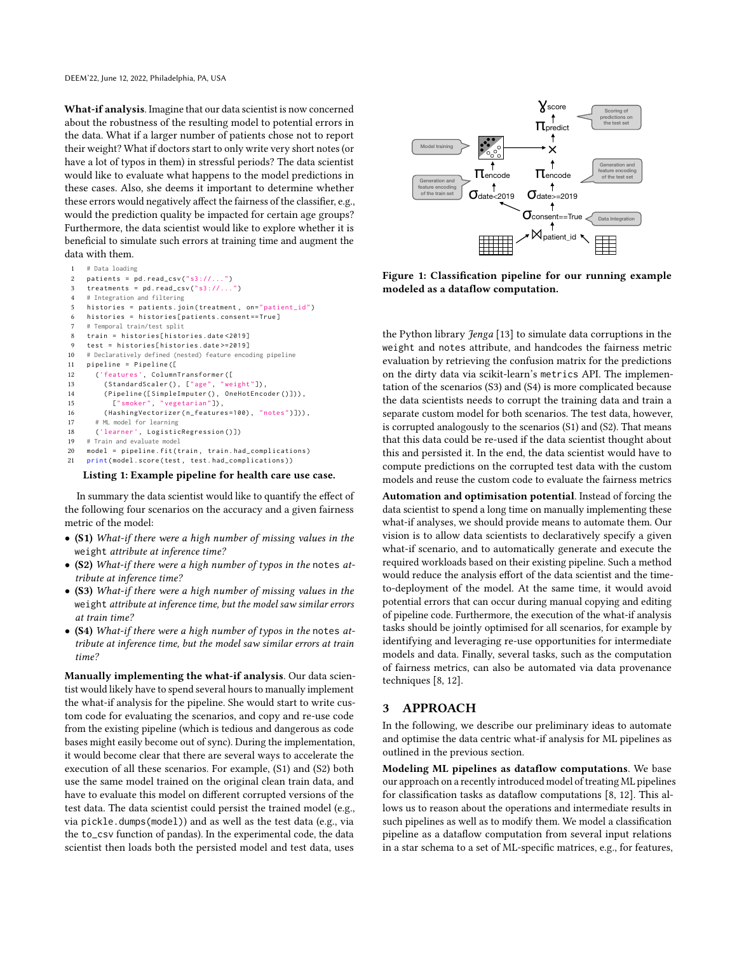What-if analysis. Imagine that our data scientist is now concerned about the robustness of the resulting model to potential errors in the data. What if a larger number of patients chose not to report their weight? What if doctors start to only write very short notes (or have a lot of typos in them) in stressful periods? The data scientist would like to evaluate what happens to the model predictions in these cases. Also, she deems it important to determine whether these errors would negatively affect the fairness of the classifier, e.g., would the prediction quality be impacted for certain age groups? Furthermore, the data scientist would like to explore whether it is beneficial to simulate such errors at training time and augment the data with them.

```
1 # Data loading
2 patients = pd.read_ccsv("s3://...")
3 treatments = pd.read_csv("s3://...")
4 # Integration and filtering
5 histories = patients.join (treatment, on="patient_id")
    histories = histories[patients.consent==True]
    # Temporal train/test split
8 train = histories [ histories . date <2019]
    9 test = histories [ histories . date >=2019]
10 # Declaratively defined (nested) feature encoding pipeline
11 pipeline = Pipeline ([
12 ('features ', ColumnTransformer ([
13 (StandardScaler (), ["age", "weight"]),
14 ( Pipeline ([ SimpleImputer () , OneHotEncoder ()])) ,
15 [" smoker ", " vegetarian "]) ,
16 (HashingVectorizer (n_features=100), "notes")])),
17 # ML model for learning
18 ('learner', LogisticRegression()])<br>19 # Train and evaluate model
    # Train and evaluate model
20 model = pipeline . fit ( train , train . had_complications )
21 print (model.score (test, test.had_complications))
```
#### Listing 1: Example pipeline for health care use case.

In summary the data scientist would like to quantify the effect of the following four scenarios on the accuracy and a given fairness metric of the model:

- (S1) What-if there were a high number of missing values in the weight attribute at inference time?
- (S2) What-if there were a high number of typos in the notes attribute at inference time?
- (S3) What-if there were a high number of missing values in the weight attribute at inference time, but the model saw similar errors at train time?
- (S4) What-if there were a high number of typos in the notes attribute at inference time, but the model saw similar errors at train time?

Manually implementing the what-if analysis. Our data scientist would likely have to spend several hours to manually implement the what-if analysis for the pipeline. She would start to write custom code for evaluating the scenarios, and copy and re-use code from the existing pipeline (which is tedious and dangerous as code bases might easily become out of sync). During the implementation, it would become clear that there are several ways to accelerate the execution of all these scenarios. For example, (S1) and (S2) both use the same model trained on the original clean train data, and have to evaluate this model on different corrupted versions of the test data. The data scientist could persist the trained model (e.g., via pickle.dumps(model)) and as well as the test data (e.g., via the to\_csv function of pandas). In the experimental code, the data scientist then loads both the persisted model and test data, uses

<span id="page-1-2"></span>

Figure 1: Classification pipeline for our running example modeled as a dataflow computation.

the Python library Jenga [\[13\]](#page-4-3) to simulate data corruptions in the weight and notes attribute, and handcodes the fairness metric evaluation by retrieving the confusion matrix for the predictions on the dirty data via scikit-learn's metrics API. The implementation of the scenarios (S3) and (S4) is more complicated because the data scientists needs to corrupt the training data and train a separate custom model for both scenarios. The test data, however, is corrupted analogously to the scenarios (S1) and (S2). That means that this data could be re-used if the data scientist thought about this and persisted it. In the end, the data scientist would have to compute predictions on the corrupted test data with the custom models and reuse the custom code to evaluate the fairness metrics

Automation and optimisation potential. Instead of forcing the data scientist to spend a long time on manually implementing these what-if analyses, we should provide means to automate them. Our vision is to allow data scientists to declaratively specify a given what-if scenario, and to automatically generate and execute the required workloads based on their existing pipeline. Such a method would reduce the analysis effort of the data scientist and the timeto-deployment of the model. At the same time, it would avoid potential errors that can occur during manual copying and editing of pipeline code. Furthermore, the execution of the what-if analysis tasks should be jointly optimised for all scenarios, for example by identifying and leveraging re-use opportunities for intermediate models and data. Finally, several tasks, such as the computation of fairness metrics, can also be automated via data provenance techniques [\[8,](#page-4-9) [12\]](#page-4-10).

# <span id="page-1-0"></span>3 APPROACH

In the following, we describe our preliminary ideas to automate and optimise the data centric what-if analysis for ML pipelines as outlined in the previous section.

Modeling ML pipelines as dataflow computations. We base our approach on a recently introduced model of treating ML pipelines for classification tasks as dataflow computations [\[8,](#page-4-9) [12\]](#page-4-10). This allows us to reason about the operations and intermediate results in such pipelines as well as to modify them. We model a classification pipeline as a dataflow computation from several input relations in a star schema to a set of ML-specific matrices, e.g., for features,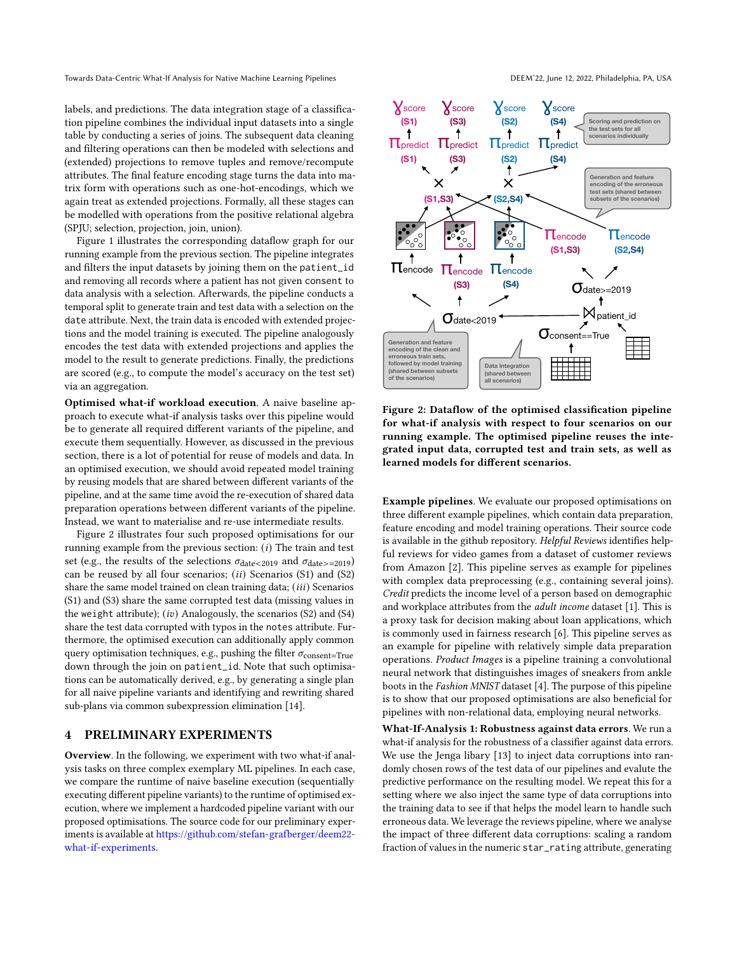Towards Data-Centric What-If Analysis for Native Machine Learning Pipelines DEEM'22, June 12, 2022, Philadelphia, PA, USA

labels, and predictions. The data integration stage of a classification pipeline combines the individual input datasets into a single table by conducting a series of joins. The subsequent data cleaning and filtering operations can then be modeled with selections and (extended) projections to remove tuples and remove/recompute attributes. The final feature encoding stage turns the data into matrix form with operations such as one-hot-encodings, which we again treat as extended projections. Formally, all these stages can be modelled with operations from the positive relational algebra (SPJU; selection, projection, join, union).

Figure [1](#page-1-2) illustrates the corresponding dataflow graph for our running example from the previous section. The pipeline integrates and filters the input datasets by joining them on the patient\_id and removing all records where a patient has not given consent to data analysis with a selection. Afterwards, the pipeline conducts a temporal split to generate train and test data with a selection on the date attribute. Next, the train data is encoded with extended projections and the model training is executed. The pipeline analogously encodes the test data with extended projections and applies the model to the result to generate predictions. Finally, the predictions are scored (e.g., to compute the model's accuracy on the test set) via an aggregation.

Optimised what-if workload execution. A naive baseline approach to execute what-if analysis tasks over this pipeline would be to generate all required different variants of the pipeline, and execute them sequentially. However, as discussed in the previous section, there is a lot of potential for reuse of models and data. In an optimised execution, we should avoid repeated model training by reusing models that are shared between different variants of the pipeline, and at the same time avoid the re-execution of shared data preparation operations between different variants of the pipeline. Instead, we want to materialise and re-use intermediate results.

Figure [2](#page-2-1) illustrates four such proposed optimisations for our running example from the previous section:  $(i)$  The train and test set (e.g., the results of the selections  $\sigma_{\text{date}<2019}$  and  $\sigma_{\text{date}>=2019}$ ) can be reused by all four scenarios;  $(ii)$  Scenarios (S1) and (S2) share the same model trained on clean training data;  $(iii)$  Scenarios (S1) and (S3) share the same corrupted test data (missing values in the weight attribute);  $(iv)$  Analogously, the scenarios (S2) and (S4) share the test data corrupted with typos in the notes attribute. Furthermore, the optimised execution can additionally apply common query optimisation techniques, e.g., pushing the filter  $\sigma_{\text{consent}=True}$ down through the join on patient\_id. Note that such optimisations can be automatically derived, e.g., by generating a single plan for all naive pipeline variants and identifying and rewriting shared sub-plans via common subexpression elimination [\[14\]](#page-4-11).

# <span id="page-2-0"></span>4 PRELIMINARY EXPERIMENTS

Overview. In the following, we experiment with two what-if analysis tasks on three complex exemplary ML pipelines. In each case, we compare the runtime of naive baseline execution (sequentially executing different pipeline variants) to the runtime of optimised execution, where we implement a hardcoded pipeline variant with our proposed optimisations. The source code for our preliminary experiments is available at [https://github.com/stefan-grafberger/deem22](https://github.com/stefan-grafberger/deem22-what-if-experiments) [what-if-experiments.](https://github.com/stefan-grafberger/deem22-what-if-experiments)

<span id="page-2-1"></span>

Figure 2: Dataflow of the optimised classification pipeline for what-if analysis with respect to four scenarios on our running example. The optimised pipeline reuses the integrated input data, corrupted test and train sets, as well as learned models for different scenarios.

Example pipelines. We evaluate our proposed optimisations on three different example pipelines, which contain data preparation, feature encoding and model training operations. Their source code is available in the github repository. Helpful Reviews identifies helpful reviews for video games from a dataset of customer reviews from Amazon [\[2\]](#page-4-12). This pipeline serves as example for pipelines with complex data preprocessing (e.g., containing several joins). Credit predicts the income level of a person based on demographic and workplace attributes from the adult income dataset [\[1\]](#page-4-13). This is a proxy task for decision making about loan applications, which is commonly used in fairness research [\[6\]](#page-4-14). This pipeline serves as an example for pipeline with relatively simple data preparation operations. Product Images is a pipeline training a convolutional neural network that distinguishes images of sneakers from ankle boots in the Fashion MNIST dataset [\[4\]](#page-4-15). The purpose of this pipeline is to show that our proposed optimisations are also beneficial for pipelines with non-relational data, employing neural networks.

What-If-Analysis 1: Robustness against data errors. We run a what-if analysis for the robustness of a classifier against data errors. We use the Jenga libary [\[13\]](#page-4-3) to inject data corruptions into randomly chosen rows of the test data of our pipelines and evalute the predictive performance on the resulting model. We repeat this for a setting where we also inject the same type of data corruptions into the training data to see if that helps the model learn to handle such erroneous data. We leverage the reviews pipeline, where we analyse the impact of three different data corruptions: scaling a random fraction of values in the numeric star\_rating attribute, generating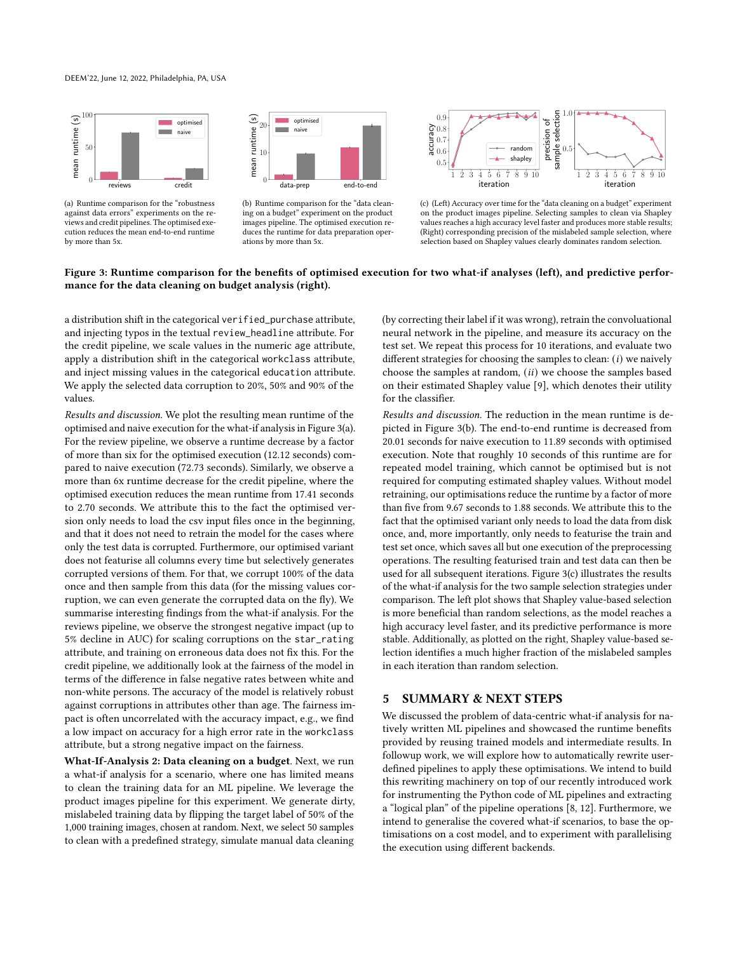#### DEEM'22, June 12, 2022, Philadelphia, PA, USA

<span id="page-3-0"></span>

(a) Runtime comparison for the "robustness against data errors" experiments on the reviews and credit pipelines. The optimised execution reduces the mean end-to-end runtime by more than 5x.



<span id="page-3-1"></span>(b) Runtime comparison for the "data cleaning on a budget" experiment on the product images pipeline. The optimised execution reduces the runtime for data preparation operations by more than 5x.



<span id="page-3-2"></span>(c) (Left) Accuracy over time for the "data cleaning on a budget" experiment on the product images pipeline. Selecting samples to clean via Shapley values reaches a high accuracy level faster and produces more stable results; (Right) corresponding precision of the mislabeled sample selection, where selection based on Shapley values clearly dominates random selection.

#### Figure 3: Runtime comparison for the benefits of optimised execution for two what-if analyses (left), and predictive performance for the data cleaning on budget analysis (right).

a distribution shift in the categorical verified\_purchase attribute, and injecting typos in the textual review\_headline attribute. For the credit pipeline, we scale values in the numeric age attribute, apply a distribution shift in the categorical workclass attribute, and inject missing values in the categorical education attribute. We apply the selected data corruption to 20%, 50% and 90% of the values.

Results and discussion. We plot the resulting mean runtime of the optimised and naive execution for the what-if analysis in Figure [3\(a\).](#page-3-0) For the review pipeline, we observe a runtime decrease by a factor of more than six for the optimised execution (12.12 seconds) compared to naive execution (72.73 seconds). Similarly, we observe a more than 6x runtime decrease for the credit pipeline, where the optimised execution reduces the mean runtime from 17.41 seconds to 2.70 seconds. We attribute this to the fact the optimised version only needs to load the csv input files once in the beginning, and that it does not need to retrain the model for the cases where only the test data is corrupted. Furthermore, our optimised variant does not featurise all columns every time but selectively generates corrupted versions of them. For that, we corrupt 100% of the data once and then sample from this data (for the missing values corruption, we can even generate the corrupted data on the fly). We summarise interesting findings from the what-if analysis. For the reviews pipeline, we observe the strongest negative impact (up to 5% decline in AUC) for scaling corruptions on the star\_rating attribute, and training on erroneous data does not fix this. For the credit pipeline, we additionally look at the fairness of the model in terms of the difference in false negative rates between white and non-white persons. The accuracy of the model is relatively robust against corruptions in attributes other than age. The fairness impact is often uncorrelated with the accuracy impact, e.g., we find a low impact on accuracy for a high error rate in the workclass attribute, but a strong negative impact on the fairness.

What-If-Analysis 2: Data cleaning on a budget. Next, we run a what-if analysis for a scenario, where one has limited means to clean the training data for an ML pipeline. We leverage the product images pipeline for this experiment. We generate dirty, mislabeled training data by flipping the target label of 50% of the 1,000 training images, chosen at random. Next, we select 50 samples to clean with a predefined strategy, simulate manual data cleaning

(by correcting their label if it was wrong), retrain the convoluational neural network in the pipeline, and measure its accuracy on the test set. We repeat this process for 10 iterations, and evaluate two different strategies for choosing the samples to clean:  $(i)$  we naively choose the samples at random,  $(ii)$  we choose the samples based on their estimated Shapley value [\[9\]](#page-4-4), which denotes their utility for the classifier.

Results and discussion. The reduction in the mean runtime is depicted in Figure [3\(b\).](#page-3-1) The end-to-end runtime is decreased from 20.01 seconds for naive execution to 11.89 seconds with optimised execution. Note that roughly 10 seconds of this runtime are for repeated model training, which cannot be optimised but is not required for computing estimated shapley values. Without model retraining, our optimisations reduce the runtime by a factor of more than five from 9.67 seconds to 1.88 seconds. We attribute this to the fact that the optimised variant only needs to load the data from disk once, and, more importantly, only needs to featurise the train and test set once, which saves all but one execution of the preprocessing operations. The resulting featurised train and test data can then be used for all subsequent iterations. Figure [3\(c\)](#page-3-2) illustrates the results of the what-if analysis for the two sample selection strategies under comparison. The left plot shows that Shapley value-based selection is more beneficial than random selections, as the model reaches a high accuracy level faster, and its predictive performance is more stable. Additionally, as plotted on the right, Shapley value-based selection identifies a much higher fraction of the mislabeled samples in each iteration than random selection.

## 5 SUMMARY & NEXT STEPS

We discussed the problem of data-centric what-if analysis for natively written ML pipelines and showcased the runtime benefits provided by reusing trained models and intermediate results. In followup work, we will explore how to automatically rewrite userdefined pipelines to apply these optimisations. We intend to build this rewriting machinery on top of our recently introduced work for instrumenting the Python code of ML pipelines and extracting a "logical plan" of the pipeline operations [\[8,](#page-4-9) [12\]](#page-4-10). Furthermore, we intend to generalise the covered what-if scenarios, to base the optimisations on a cost model, and to experiment with parallelising the execution using different backends.